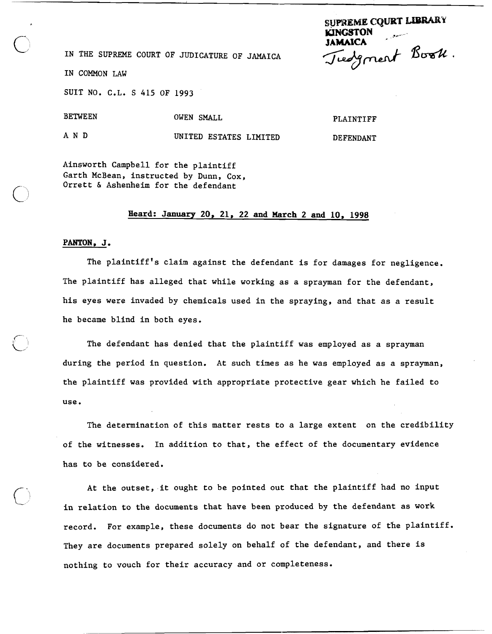**SUPREME CQURT LIBRARY KJNGSTON**<br>**JAMAICA** IAMAICA<br>IN THE SUPREME COURT OF JUDICATURE OF JAMAICA *Juelgnert* Book.  $\mathcal O$ 

IN COMMON LAW

SUIT NO. C.L. S 415 OF 1993

BETWEEN OWEN SMALL

PLAINTIFF

DEFENDANT

A N D UNITED ESTATES LIMITED

Ainsworth Campbell for the plaintiff Garth McBean, instructed by Dunn, Cox, Orrett & Ashenheim for the defendant

## **Heard: January 20, 21, 22 and March 2 and 10, 1998**

## **PANTON, J.**

The plaintiff's claim against the defendant is for damages for negligence. The plaintiff has alleged that while working as a sprayman for the defendant, his eyes were invaded by chemicals used in the spraying, and that as a result he became blind in both eyes.

The defendant has denied that the plaintiff was employed as a sprayman during the period in question. At such times as he was employed as a sprayman, the plaintiff was provided with appropriate protective gear which he failed to use.

The determination of this matter rests to a large extent on the credibility of the witnesses. In addition to that, the effect of the documentary evidence has to be considered.

At the outset, it ought to be pointed out that the plaintiff had no input in relation to the documents that have been produced by the defendant as work record. For example, these documents do not bear the signature of the plaintiff. They are documents prepared solely on behalf of the defendant, and there is nothing to vouch for their accuracy and or completeness.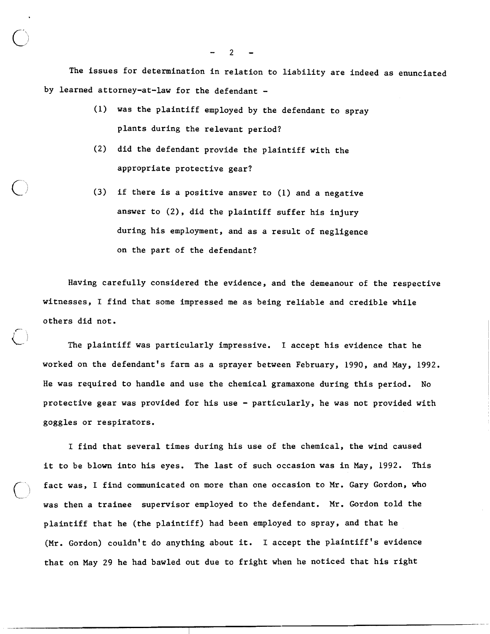The issues for determination in relation to liability are indeed as enunciated by learned attorney-at-law for the defendant -

- (1) was the plaintiff employed by the defendant to spray plants during the relevant period?
- (2) did the defendant provide the plaintiff with the appropriate protective gear?
- **(3)** if there is a positive answer to (1) and a negative answer to (2), did the plaintiff suffer his injury during his employment, and as a result of negligence on the part of the defendant?

Having carefully considered the evidence, and the demeanour of the respective witnesses, I find that some impressed me as being reliable and credible while others did not.

 $\bigcirc$ The plaintiff was particularly impressive. I accept his evidence that he worked on the defendant's farm as a sprayer between February, 1990, and May, 1992. He was required to handle and use the chemical gramaxone during this period. No protective gear was provided for his use - particularly, he was not provided with goggles or respirators.

I find that several times during his use of the chemical, the wind caused it to be blown into his eyes. The last of such occasion was in May, 1992. This fact was, I find communicated on more than one occasion to Mr. Gary Gordon, who was then a trainee supervisor employed to the defendant. Mr. Gordon told the plaintiff that he (the plaintiff) had been employed to spray, and that he (Mr. Gordon) couldn't do anything about it. I accept the plaintiff's evidence that on May 29 he had bawled out due to fright when he noticed that his right

 $\bigcup$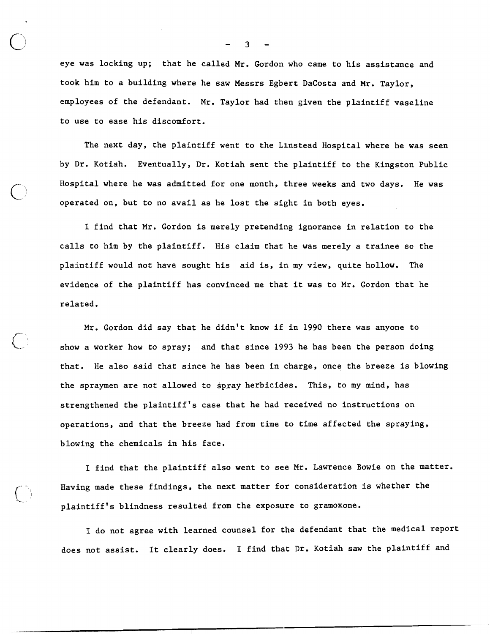eye was locking up; that he called Mr. Gordon who came to his assistance and took him to a building where he saw Messrs Egbert DaCosta and Mr. Taylor, employees of the defendant. Mr. Taylor had then given the plaintiff vaseline to use to ease his discomfort.

The next day, the plaintiff went to the Linstead Hospital where he was seen by Dr. Kotiah. Eventually, Dr. Kotiah sent the plaintiff to the Kingston Public Hospital where he was admitted for one month, three weeks and two days. He was operated on, but to no avail as he lost the sight in both eyes.

I find that Mr. Gordon is merely pretending ignorance in relation to the calls to him by the plaintiff. His claim that he was merely a trainee so the plaintiff would not have sought his aid is, in my view, quite hollow. The evidence of the plaintiff has convinced me that it was to Mr. Gordon that he related.

Mr. Gordon did say that he didn't know if in **1990** there was anyone to show a worker how to spray; and that since 1993 he has been the person doing that. He also said that since he has been in charge, once the breeze is blowing the spraymen are not allowed to spray herbicides. This, to my mind, has strengthened the plaintiff's case that he had received no instructions on operations, and that the breeze had from time to time affected the spraying, blowing the chemicals in his face.

I find that the plaintiff also went to see Mr. Lawrence Bowie on the matter, Having made these findings, the next matter for consideration is whether the plaintiff's blindness resulted from the exposure to gramoxone.

I do not agree with learned counsel for the defendant that the medical report does not assist. It clearly does. I find that Dr. Kotiah saw the plaintiff and

- **3** -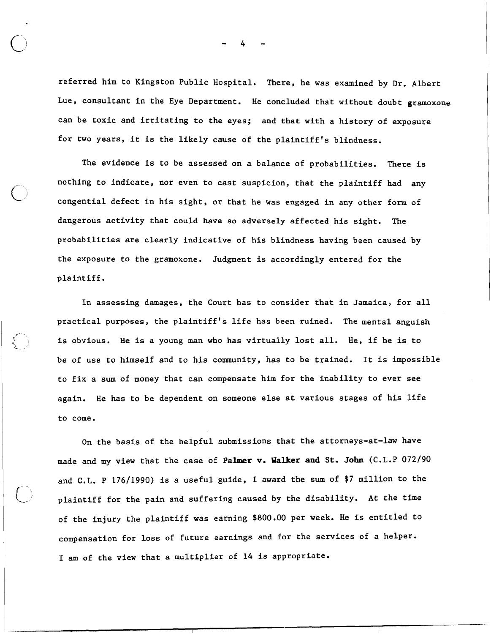referred him to Kingston Public Hospital. There, he was examined by Dr. Albert Lue, consultant in the Eye Department. He concluded that without doubt gramoxone can be toxic and irritating to the eyes; and that with a history of exposure for two years, it is the likely cause of the plaintiff's blindness.

The evidence is to be assessed on a balance of probabilities. There is nothing to indicate, nor even to cast suspicion, that the plaintiff had any congential defect in his sight, or that he was engaged in any other form of dangerous activity that could have so adversely affected his sight. The probabilities are clearly indicative of his blindness having been caused by the exposure to the gramoxone. Judgment is accordingly entered for the plaintiff.

In assessing damages, the Court has to consider that in Jamaica, for all practical purposes, the plaintiff's life has been ruined. The mental anguish is obvious. He is a young man who has virtually lost all. He, if he is to be of use to himself and to his community, has to be trained. It is impossible to fix a sum of money that can compensate him for the inability to ever see again. He has to be dependent on someone else at various stages of his life to come.

**t'"** <sup>~</sup> **5,** 

> On the basis of the helpful submissions that the attorneys-at-law have made and my view that the case of **Palmer v. Walker and St, John** (C.L.P 072190 and C.L. P 176/1990) is a useful guide, I award the sum of \$7 million to the plaintiff for the pain and suffering caused by the disability. At the time of the injury the plaintiff was earning \$800.00 per week. He is entitled to compensation for loss of future earnings and for the services of a helper. I am of the view that a multiplier of 14 is appropriate.